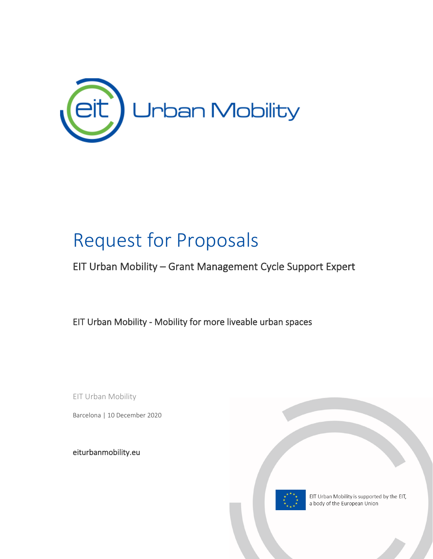

## Request for Proposals

## EIT Urban Mobility – Grant Management Cycle Support Expert

EIT Urban Mobility - Mobility for more liveable urban spaces

EIT Urban Mobility

Barcelona | 10 December 2020

[eiturbanmobility.eu](http://www.eiturbanmobility.eu/)

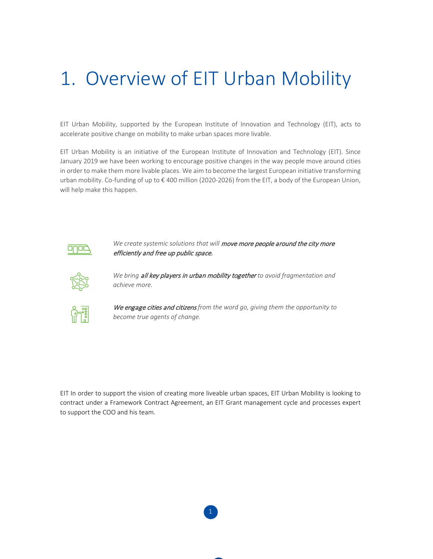## 1. Overview of EIT Urban Mobility

EIT Urban Mobility, supported by the European Institute of Innovation and Technology (EIT), acts to accelerate positive change on mobility to make urban spaces more livable.

EIT Urban Mobility is an initiative of the European Institute of Innovation and Technology (EIT). Since January 2019 we have been working to encourage positive changes in the way people move around cities in order to make them more livable places. We aim to become the largest European initiative transforming urban mobility. Co-funding of up to € 400 million (2020-2026) from the EIT, a body of the European Union, will help make this happen.



We create systemic solutions that will move more people around the city more efficiently and free up public space.



*We bring* all key players in urban mobility together *to avoid fragmentation and achieve more.*



We engage cities and citizens *from the word go, giving them the opportunity to become true agents of change.*

EIT In order to support the vision of creating more liveable urban spaces, EIT Urban Mobility is looking to contract under a Framework Contract Agreement, an EIT Grant management cycle and processes expert to support the COO and his team.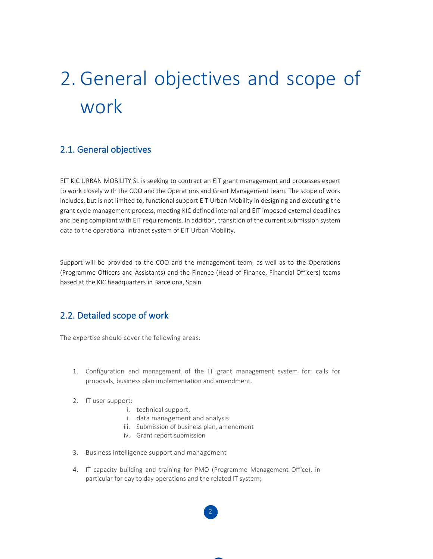# 2. General objectives and scope of work

#### 2.1. General objectives

EIT KIC URBAN MOBILITY SL is seeking to contract an EIT grant management and processes expert to work closely with the COO and the Operations and Grant Management team. The scope of work includes, but is not limited to, functional support EIT Urban Mobility in designing and executing the grant cycle management process, meeting KIC defined internal and EIT imposed external deadlines and being compliant with EIT requirements. In addition, transition of the current submission system data to the operational intranet system of EIT Urban Mobility.

Support will be provided to the COO and the management team, as well as to the Operations (Programme Officers and Assistants) and the Finance (Head of Finance, Financial Officers) teams based at the KIC headquarters in Barcelona, Spain.

## 2.2. Detailed scope of work

The expertise should cover the following areas:

- 1. Configuration and management of the IT grant management system for: calls for proposals, business plan implementation and amendment.
- 2. IT user support:
	- i. technical support,
	- ii. data management and analysis
	- iii. Submission of business plan, amendment
	- iv. Grant report submission
- 3. Business intelligence support and management
- 4. IT capacity building and training for PMO (Programme Management Office), in particular for day to day operations and the related IT system;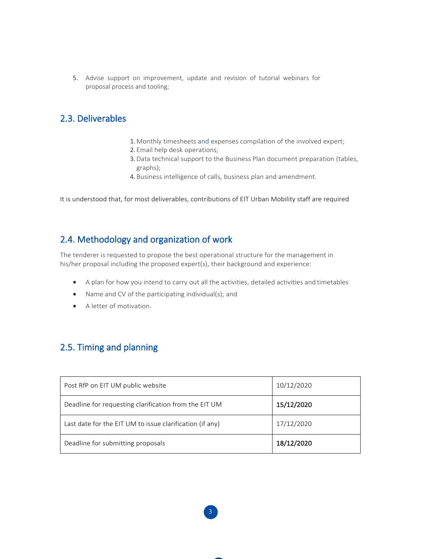5. Advise support on improvement, update and revision of tutorial webinars for proposal process and tooling;

## 2.3. Deliverables

- 1. Monthly timesheets and expenses compilation of the involved expert;
- 2. Email help desk operations;
- 3.Data technical support to the Business Plan document preparation (tables, graphs);
- 4. Business intelligence of calls, business plan and amendment.

It is understood that, for most deliverables, contributions of EIT Urban Mobility staff are required

## 2.4. Methodology and organization of work

The tenderer is requested to propose the best operational structure for the management in his/her proposal including the proposed expert(s), their background and experience:

- A plan for how you intend to carry out all the activities, detailed activities and timetables
- Name and CV of the participating individual(s); and
- A letter of motivation.

## 2.5. Timing and planning

| Post RfP on EIT UM public website                        | 10/12/2020 |
|----------------------------------------------------------|------------|
| Deadline for requesting clarification from the EIT UM    | 15/12/2020 |
| Last date for the EIT UM to issue clarification (if any) | 17/12/2020 |
| Deadline for submitting proposals                        | 18/12/2020 |

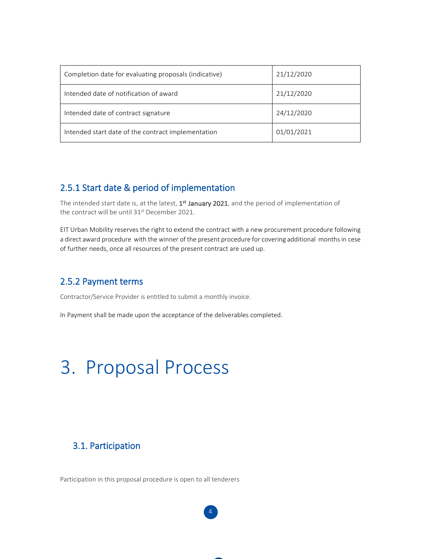| Completion date for evaluating proposals (indicative) | 21/12/2020 |
|-------------------------------------------------------|------------|
| Intended date of notification of award                | 21/12/2020 |
| Intended date of contract signature                   | 24/12/2020 |
| Intended start date of the contract implementation    | 01/01/2021 |

## 2.5.1 Start date & period of implementation

The intended start date is, at the latest,  $1<sup>st</sup>$  January 2021, and the period of implementation of the contract will be until 31<sup>st</sup> December 2021.

EIT Urban Mobility reserves the right to extend the contract with a new procurement procedure following a direct award procedure with the winner of the present procedure for covering additional months in cese of further needs, once all resources of the present contract are used up.

4

## 2.5.2 Payment terms

Contractor/Service Provider is entitled to submit a monthly invoice.

In Payment shall be made upon the acceptance of the deliverables completed.

## 3. Proposal Process

## 3.1. Participation

Participation in this proposal procedure is open to all tenderers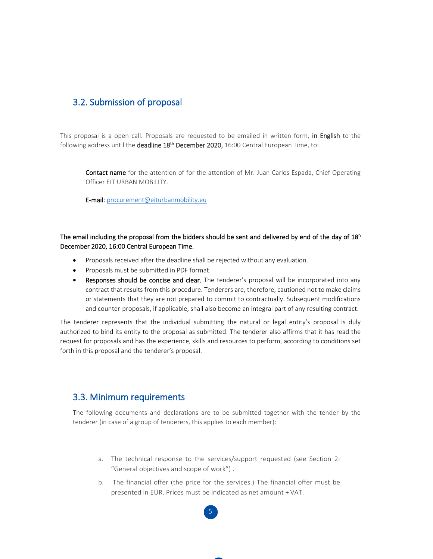## 3.2. Submission of proposal

This proposal is a open call. Proposals are requested to be emailed in written form, in English to the following address until the deadline  $18<sup>th</sup>$  December 2020, 16:00 Central European Time, to:

Contact name for the attention of for the attention of Mr. Juan Carlos Espada, Chief Operating Officer EIT URBAN MOBILITY.

E-mail: [procurement@eiturbanmobility.eu](mailto:procurement@eiturbanmobility.eu)

The email including the proposal from the bidders should be sent and delivered by end of the day of 18<sup>h</sup> December 2020, 16:00 Central European Time.

- Proposals received after the deadline shall be rejected without any evaluation.
- Proposals must be submitted in PDF format.
- Responses should be concise and clear. The tenderer's proposal will be incorporated into any contract that results from this procedure. Tenderers are, therefore, cautioned not to make claims or statements that they are not prepared to commit to contractually. Subsequent modifications and counter-proposals, if applicable, shall also become an integral part of any resulting contract.

The tenderer represents that the individual submitting the natural or legal entity's proposal is duly authorized to bind its entity to the proposal as submitted. The tenderer also affirms that it has read the request for proposals and has the experience, skills and resources to perform, according to conditions set forth in this proposal and the tenderer's proposal.

#### 3.3. Minimum requirements

The following documents and declarations are to be submitted together with the tender by the tenderer (in case of a group of tenderers, this applies to each member):

- a. The technical response to the services/support requested (see Section 2: "General objectives and scope of work") .
- b. The financial offer (the price for the services.) The financial offer must be presented in EUR. Prices must be indicated as net amount + VAT.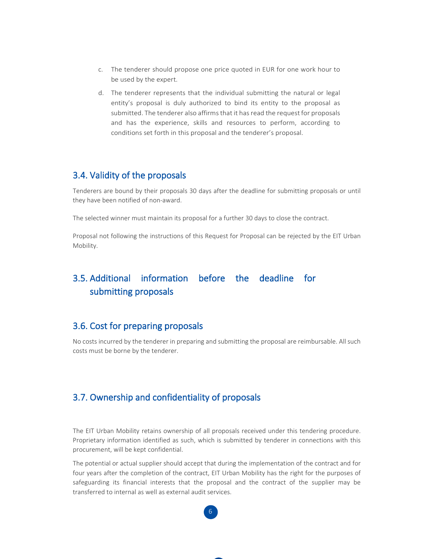- c. The tenderer should propose one price quoted in EUR for one work hour to be used by the expert.
- d. The tenderer represents that the individual submitting the natural or legal entity's proposal is duly authorized to bind its entity to the proposal as submitted. The tenderer also affirms that it has read the request for proposals and has the experience, skills and resources to perform, according to conditions set forth in this proposal and the tenderer's proposal.

### 3.4. Validity of the proposals

Tenderers are bound by their proposals 30 days after the deadline for submitting proposals or until they have been notified of non-award.

The selected winner must maintain its proposal for a further 30 days to close the contract.

Proposal not following the instructions of this Request for Proposal can be rejected by the EIT Urban Mobility.

## 3.5. Additional information before the deadline for submitting proposals

#### 3.6. Cost for preparing proposals

No costs incurred by the tenderer in preparing and submitting the proposal are reimbursable. All such costs must be borne by the tenderer.

#### 3.7. Ownership and confidentiality of proposals

The EIT Urban Mobility retains ownership of all proposals received under this tendering procedure. Proprietary information identified as such, which is submitted by tenderer in connections with this procurement, will be kept confidential.

The potential or actual supplier should accept that during the implementation of the contract and for four years after the completion of the contract, EIT Urban Mobility has the right for the purposes of safeguarding its financial interests that the proposal and the contract of the supplier may be transferred to internal as well as external audit services.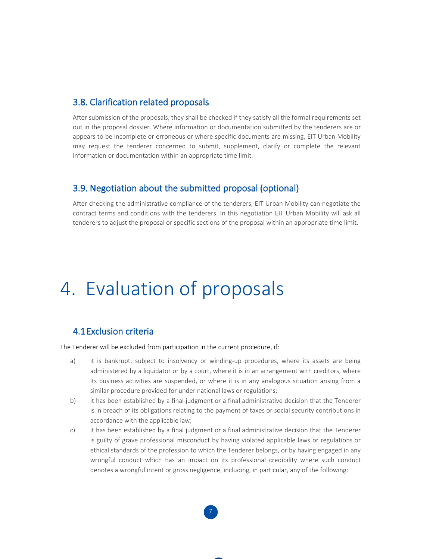#### 3.8. Clarification related proposals

After submission of the proposals, they shall be checked if they satisfy all the formal requirements set out in the proposal dossier. Where information or documentation submitted by the tenderers are or appears to be incomplete or erroneous or where specific documents are missing, EIT Urban Mobility may request the tenderer concerned to submit, supplement, clarify or complete the relevant information or documentation within an appropriate time limit.

#### 3.9. Negotiation about the submitted proposal (optional)

After checking the administrative compliance of the tenderers, EIT Urban Mobility can negotiate the contract terms and conditions with the tenderers. In this negotiation EIT Urban Mobility will ask all tenderers to adjust the proposal or specific sections of the proposal within an appropriate time limit.

## 4. Evaluation of proposals

#### 4.1Exclusion criteria

The Tenderer will be excluded from participation in the current procedure, if:

- a) it is bankrupt, subject to insolvency or winding-up procedures, where its assets are being administered by a liquidator or by a court, where it is in an arrangement with creditors, where its business activities are suspended, or where it is in any analogous situation arising from a similar procedure provided for under national laws or regulations;
- b) it has been established by a final judgment or a final administrative decision that the Tenderer is in breach of its obligations relating to the payment of taxes or social security contributions in accordance with the applicable law;
- c) it has been established by a final judgment or a final administrative decision that the Tenderer is guilty of grave professional misconduct by having violated applicable laws or regulations or ethical standards of the profession to which the Tenderer belongs, or by having engaged in any wrongful conduct which has an impact on its professional credibility where such conduct denotes a wrongful intent or gross negligence, including, in particular, any of the following:

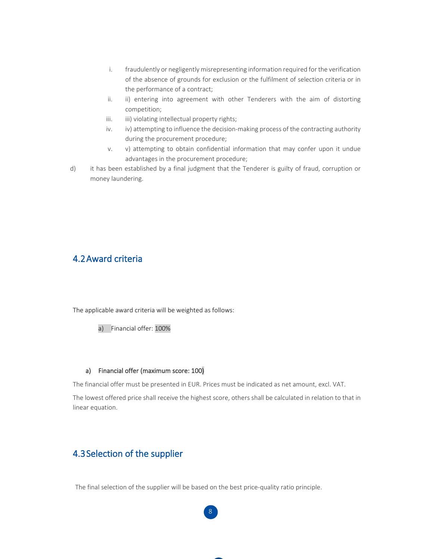- i. fraudulently or negligently misrepresenting information required for the verification of the absence of grounds for exclusion or the fulfilment of selection criteria or in the performance of a contract;
- ii. ii) entering into agreement with other Tenderers with the aim of distorting competition;
- iii. iii) violating intellectual property rights;
- iv. iv) attempting to influence the decision-making process of the contracting authority during the procurement procedure;
- v. v) attempting to obtain confidential information that may confer upon it undue advantages in the procurement procedure;
- d) it has been established by a final judgment that the Tenderer is guilty of fraud, corruption or money laundering.

#### 4.2Award criteria

The applicable award criteria will be weighted as follows:

a) Financial offer: 100%

#### a) Financial offer (maximum score: 100)

The financial offer must be presented in EUR. Prices must be indicated as net amount, excl. VAT.

The lowest offered price shall receive the highest score, others shall be calculated in relation to that in linear equation.

## 4.3Selection of the supplier

The final selection of the supplier will be based on the best price-quality ratio principle.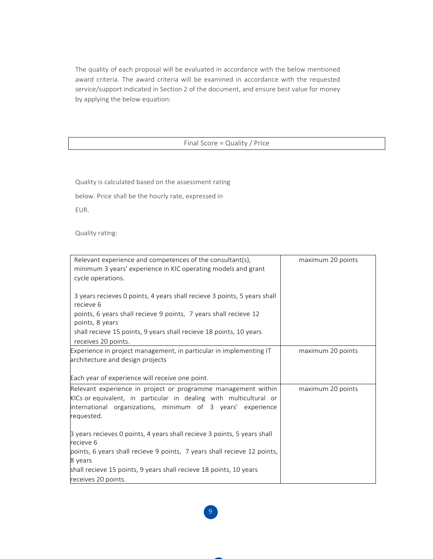The quality of each proposal will be evaluated in accordance with the below mentioned award criteria. The award criteria will be examined in accordance with the requested service/support indicated in Section 2 of the document, and ensure best value for money by applying the below equation:

#### Final Score = Quality / Price

Quality is calculated based on the assessment rating

below. Price shall be the hourly rate, expressed in

EUR.

Quality rating:

| Relevant experience and competences of the consultant(s),<br>minimum 3 years' experience in KIC operating models and grant<br>cycle operations.                                                                  | maximum 20 points |
|------------------------------------------------------------------------------------------------------------------------------------------------------------------------------------------------------------------|-------------------|
| 3 years recieves 0 points, 4 years shall recieve 3 points, 5 years shall<br>recieve 6                                                                                                                            |                   |
| points, 6 years shall recieve 9 points, 7 years shall recieve 12<br>points, 8 years                                                                                                                              |                   |
| shall recieve 15 points, 9 years shall recieve 18 points, 10 years<br>receives 20 points.                                                                                                                        |                   |
| Experience in project management, in particular in implementing IT<br>architecture and design projects                                                                                                           | maximum 20 points |
| Each year of experience will receive one point.                                                                                                                                                                  |                   |
| Relevant experience in project or programme management within<br>KICs or equivalent, in particular in dealing with multicultural or<br>international organizations, minimum of 3 years' experience<br>requested. | maximum 20 points |
| 3 years recieves 0 points, 4 years shall recieve 3 points, 5 years shall<br>recieve 6                                                                                                                            |                   |
| points, 6 years shall recieve 9 points, 7 years shall recieve 12 points,<br>8 years                                                                                                                              |                   |
| shall recieve 15 points, 9 years shall recieve 18 points, 10 years                                                                                                                                               |                   |
| receives 20 points.                                                                                                                                                                                              |                   |

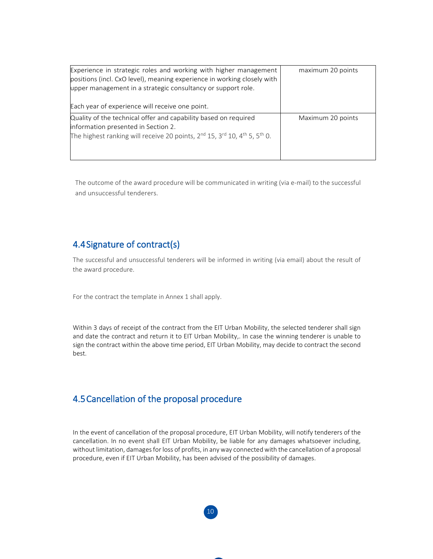| Experience in strategic roles and working with higher management<br>positions (incl. CxO level), meaning experience in working closely with<br>upper management in a strategic consultancy or support role.                         | maximum 20 points |
|-------------------------------------------------------------------------------------------------------------------------------------------------------------------------------------------------------------------------------------|-------------------|
| Each year of experience will receive one point.                                                                                                                                                                                     |                   |
| Quality of the technical offer and capability based on required<br>information presented in Section 2.<br>The highest ranking will receive 20 points, 2 <sup>nd</sup> 15, 3 <sup>rd</sup> 10, 4 <sup>th</sup> 5, 5 <sup>th</sup> 0. | Maximum 20 points |

The outcome of the award procedure will be communicated in writing (via e-mail) to the successful and unsuccessful tenderers.

## 4.4Signature of contract(s)

The successful and unsuccessful tenderers will be informed in writing (via email) about the result of the award procedure.

For the contract the template in Annex 1 shall apply.

Within 3 days of receipt of the contract from the EIT Urban Mobility, the selected tenderer shall sign and date the contract and return it to EIT Urban Mobility,. In case the winning tenderer is unable to sign the contract within the above time period, EIT Urban Mobility, may decide to contract the second best.

## 4.5Cancellation of the proposal procedure

In the event of cancellation of the proposal procedure, EIT Urban Mobility, will notify tenderers of the cancellation. In no event shall EIT Urban Mobility, be liable for any damages whatsoever including, without limitation, damages for loss of profits, in any way connected with the cancellation of a proposal procedure, even if EIT Urban Mobility, has been advised of the possibility of damages.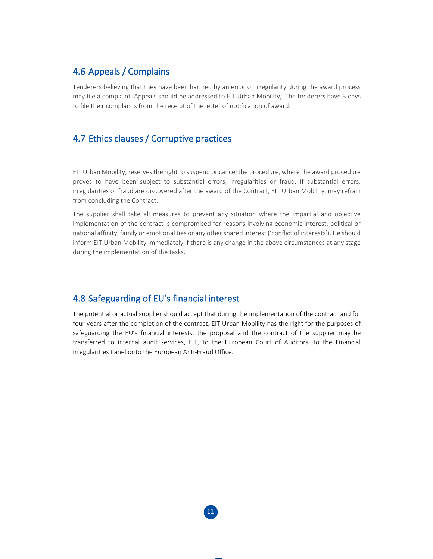## 4.6 Appeals / Complains

Tenderers believing that they have been harmed by an error or irregularity during the award process may file a complaint. Appeals should be addressed to EIT Urban Mobility,. The tenderers have 3 days to file their complaints from the receipt of the letter of notification of award.

## 4.7 Ethics clauses / Corruptive practices

EIT Urban Mobility, reserves the right to suspend or cancel the procedure, where the award procedure proves to have been subject to substantial errors, irregularities or fraud. If substantial errors, irregularities or fraud are discovered after the award of the Contract, EIT Urban Mobility, may refrain from concluding the Contract.

The supplier shall take all measures to prevent any situation where the impartial and objective implementation of the contract is compromised for reasons involving economic interest, political or national affinity, family or emotional ties or any other shared interest ('conflict of interests'). He should inform EIT Urban Mobility immediately if there is any change in the above circumstances at any stage during the implementation of the tasks.

### 4.8 Safeguarding of EU's financial interest

The potential or actual supplier should accept that during the implementation of the contract and for four years after the completion of the contract, EIT Urban Mobility has the right for the purposes of safeguarding the EU's financial interests, the proposal and the contract of the supplier may be transferred to internal audit services, EIT, to the European Court of Auditors, to the Financial Irregularities Panel or to the European Anti-Fraud Office.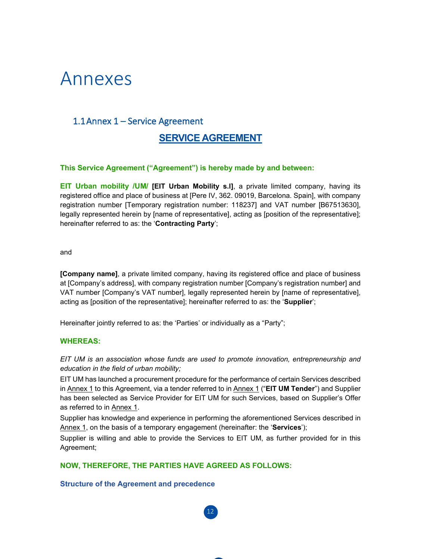## Annexes

### 1.1Annex 1 – Service Agreement

### **SERVICE AGREEMENT**

#### **This Service Agreement ("Agreement") is hereby made by and between:**

**EIT Urban mobility /UM/ [EIT Urban Mobility s.l]**, a private limited company, having its registered office and place of business at [Pere IV, 362. 09019, Barcelona. Spain], with company registration number [Temporary registration number: 118237] and VAT number [B67513630], legally represented herein by [name of representative], acting as [position of the representative]; hereinafter referred to as: the '**Contracting Party**';

and

**[Company name]**, a private limited company, having its registered office and place of business at [Company's address], with company registration number [Company's registration number] and VAT number [Company's VAT number], legally represented herein by [name of representative], acting as [position of the representative]; hereinafter referred to as: the '**Supplier**';

Hereinafter jointly referred to as: the 'Parties' or individually as a "Party";

#### **WHEREAS:**

*EIT UM is an association whose funds are used to promote innovation, entrepreneurship and education in the field of urban mobility;*

EIT UM has launched a procurement procedure for the performance of certain Services described in Annex 1 to this Agreement, via a tender referred to in Annex 1 ("**EIT UM Tender**") and Supplier has been selected as Service Provider for EIT UM for such Services, based on Supplier's Offer as referred to in Annex 1.

Supplier has knowledge and experience in performing the aforementioned Services described in Annex 1, on the basis of a temporary engagement (hereinafter: the '**Services**');

Supplier is willing and able to provide the Services to EIT UM, as further provided for in this Agreement;

**NOW, THEREFORE, THE PARTIES HAVE AGREED AS FOLLOWS:**

#### **Structure of the Agreement and precedence**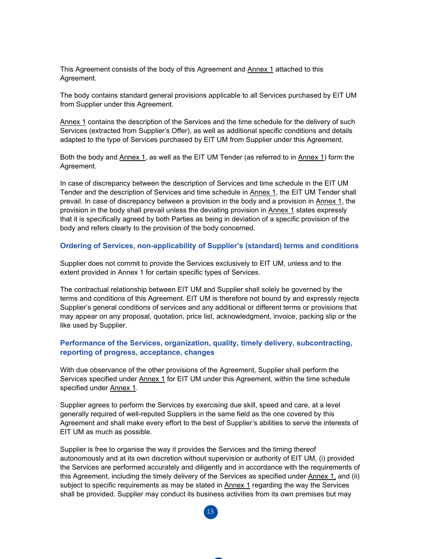This Agreement consists of the body of this Agreement and Annex 1 attached to this Agreement.

The body contains standard general provisions applicable to all Services purchased by EIT UM from Supplier under this Agreement.

Annex 1 contains the description of the Services and the time schedule for the delivery of such Services (extracted from Supplier's Offer), as well as additional specific conditions and details adapted to the type of Services purchased by EIT UM from Supplier under this Agreement.

Both the body and Annex 1, as well as the EIT UM Tender (as referred to in Annex 1) form the Agreement.

In case of discrepancy between the description of Services and time schedule in the EIT UM Tender and the description of Services and time schedule in Annex 1, the EIT UM Tender shall prevail. In case of discrepancy between a provision in the body and a provision in Annex 1, the provision in the body shall prevail unless the deviating provision in Annex 1 states expressly that it is specifically agreed by both Parties as being in deviation of a specific provision of the body and refers clearly to the provision of the body concerned.

#### **Ordering of Services, non-applicability of Supplier's (standard) terms and conditions**

Supplier does not commit to provide the Services exclusively to EIT UM, unless and to the extent provided in Annex 1 for certain specific types of Services.

The contractual relationship between EIT UM and Supplier shall solely be governed by the terms and conditions of this Agreement. EIT UM is therefore not bound by and expressly rejects Supplier's general conditions of services and any additional or different terms or provisions that may appear on any proposal, quotation, price list, acknowledgment, invoice, packing slip or the like used by Supplier.

#### **Performance of the Services, organization, quality, timely delivery, subcontracting, reporting of progress, acceptance, changes**

With due observance of the other provisions of the Agreement, Supplier shall perform the Services specified under Annex 1 for EIT UM under this Agreement, within the time schedule specified under Annex 1.

Supplier agrees to perform the Services by exercising due skill, speed and care, at a level generally required of well-reputed Suppliers in the same field as the one covered by this Agreement and shall make every effort to the best of Supplier's abilities to serve the interests of EIT UM as much as possible.

Supplier is free to organise the way it provides the Services and the timing thereof autonomously and at its own discretion without supervision or authority of EIT UM, (i) provided the Services are performed accurately and diligently and in accordance with the requirements of this Agreement, including the timely delivery of the Services as specified under Annex 1, and (ii) subject to specific requirements as may be stated in **Annex 1** regarding the way the Services shall be provided. Supplier may conduct its business activities from its own premises but may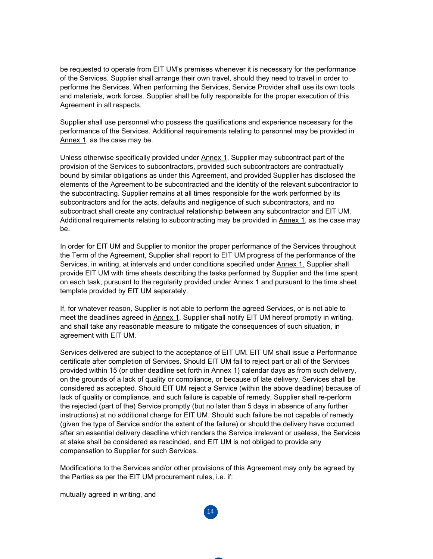be requested to operate from EIT UM's premises whenever it is necessary for the performance of the Services. Supplier shall arrange their own travel, should they need to travel in order to performe the Services. When performing the Services, Service Provider shall use its own tools and materials, work forces. Supplier shall be fully responsible for the proper execution of this Agreement in all respects.

Supplier shall use personnel who possess the qualifications and experience necessary for the performance of the Services. Additional requirements relating to personnel may be provided in Annex 1, as the case may be.

Unless otherwise specifically provided under Annex 1, Supplier may subcontract part of the provision of the Services to subcontractors, provided such subcontractors are contractually bound by similar obligations as under this Agreement, and provided Supplier has disclosed the elements of the Agreement to be subcontracted and the identity of the relevant subcontractor to the subcontracting. Supplier remains at all times responsible for the work performed by its subcontractors and for the acts, defaults and negligence of such subcontractors, and no subcontract shall create any contractual relationship between any subcontractor and EIT UM. Additional requirements relating to subcontracting may be provided in Annex 1, as the case may be.

In order for EIT UM and Supplier to monitor the proper performance of the Services throughout the Term of the Agreement, Supplier shall report to EIT UM progress of the performance of the Services, in writing, at intervals and under conditions specified under Annex 1. Supplier shall provide EIT UM with time sheets describing the tasks performed by Supplier and the time spent on each task, pursuant to the regularity provided under Annex 1 and pursuant to the time sheet template provided by EIT UM separately.

If, for whatever reason, Supplier is not able to perform the agreed Services, or is not able to meet the deadlines agreed in Annex 1, Supplier shall notify EIT UM hereof promptly in writing, and shall take any reasonable measure to mitigate the consequences of such situation, in agreement with EIT UM.

Services delivered are subject to the acceptance of EIT UM. EIT UM shall issue a Performance certificate after completion of Services. Should EIT UM fail to reject part or all of the Services provided within 15 (or other deadline set forth in Annex 1) calendar days as from such delivery, on the grounds of a lack of quality or compliance, or because of late delivery, Services shall be considered as accepted. Should EIT UM reject a Service (within the above deadline) because of lack of quality or compliance, and such failure is capable of remedy, Supplier shall re-perform the rejected (part of the) Service promptly (but no later than 5 days in absence of any further instructions) at no additional charge for EIT UM. Should such failure be not capable of remedy (given the type of Service and/or the extent of the failure) or should the delivery have occurred after an essential delivery deadline which renders the Service irrelevant or useless, the Services at stake shall be considered as rescinded, and EIT UM is not obliged to provide any compensation to Supplier for such Services.

Modifications to the Services and/or other provisions of this Agreement may only be agreed by the Parties as per the EIT UM procurement rules, i.e. if:

14

mutually agreed in writing, and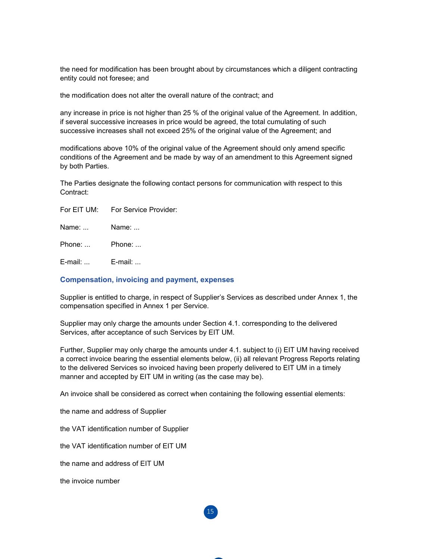the need for modification has been brought about by circumstances which a diligent contracting entity could not foresee; and

the modification does not alter the overall nature of the contract; and

any increase in price is not higher than 25 % of the original value of the Agreement. In addition, if several successive increases in price would be agreed, the total cumulating of such successive increases shall not exceed 25% of the original value of the Agreement; and

modifications above 10% of the original value of the Agreement should only amend specific conditions of the Agreement and be made by way of an amendment to this Agreement signed by both Parties.

The Parties designate the following contact persons for communication with respect to this Contract:

Name: ... Name: ...

Phone: ... Phone: ...

E-mail: ... E-mail: ...

#### **Compensation, invoicing and payment, expenses**

Supplier is entitled to charge, in respect of Supplier's Services as described under Annex 1, the compensation specified in Annex 1 per Service.

Supplier may only charge the amounts under Section 4.1. corresponding to the delivered Services, after acceptance of such Services by EIT UM.

Further, Supplier may only charge the amounts under 4.1. subject to (i) EIT UM having received a correct invoice bearing the essential elements below, (ii) all relevant Progress Reports relating to the delivered Services so invoiced having been properly delivered to EIT UM in a timely manner and accepted by EIT UM in writing (as the case may be).

15

An invoice shall be considered as correct when containing the following essential elements:

the name and address of Supplier

the VAT identification number of Supplier

the VAT identification number of EIT UM

the name and address of EIT UM

the invoice number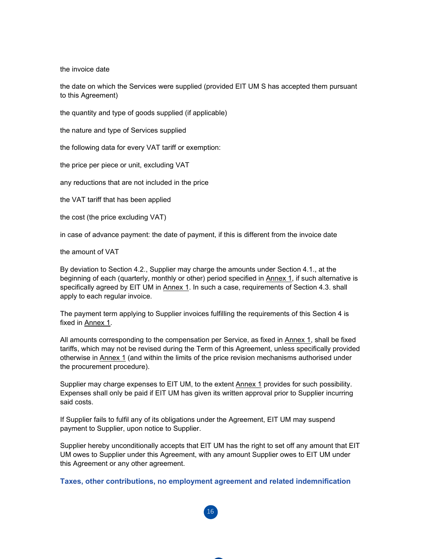the invoice date

the date on which the Services were supplied (provided EIT UM S has accepted them pursuant to this Agreement)

the quantity and type of goods supplied (if applicable)

the nature and type of Services supplied

the following data for every VAT tariff or exemption:

the price per piece or unit, excluding VAT

any reductions that are not included in the price

the VAT tariff that has been applied

the cost (the price excluding VAT)

in case of advance payment: the date of payment, if this is different from the invoice date

the amount of VAT

By deviation to Section 4.2., Supplier may charge the amounts under Section 4.1., at the beginning of each (quarterly, monthly or other) period specified in Annex 1, if such alternative is specifically agreed by EIT UM in Annex 1. In such a case, requirements of Section 4.3. shall apply to each regular invoice.

The payment term applying to Supplier invoices fulfilling the requirements of this Section 4 is fixed in Annex 1.

All amounts corresponding to the compensation per Service, as fixed in Annex 1, shall be fixed tariffs, which may not be revised during the Term of this Agreement, unless specifically provided otherwise in Annex 1 (and within the limits of the price revision mechanisms authorised under the procurement procedure).

Supplier may charge expenses to EIT UM, to the extent Annex 1 provides for such possibility. Expenses shall only be paid if EIT UM has given its written approval prior to Supplier incurring said costs.

If Supplier fails to fulfil any of its obligations under the Agreement, EIT UM may suspend payment to Supplier, upon notice to Supplier.

Supplier hereby unconditionally accepts that EIT UM has the right to set off any amount that EIT UM owes to Supplier under this Agreement, with any amount Supplier owes to EIT UM under this Agreement or any other agreement.

**Taxes, other contributions, no employment agreement and related indemnification**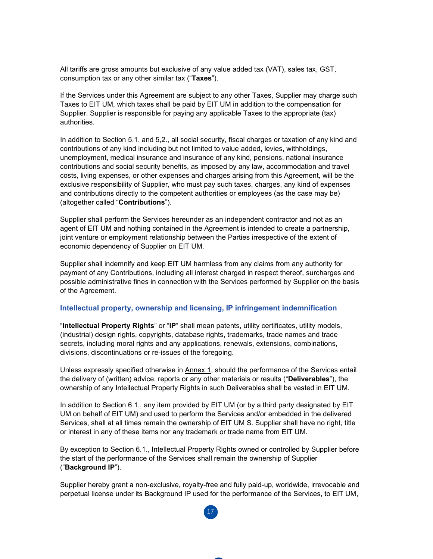All tariffs are gross amounts but exclusive of any value added tax (VAT), sales tax, GST, consumption tax or any other similar tax ("**Taxes**").

If the Services under this Agreement are subject to any other Taxes, Supplier may charge such Taxes to EIT UM, which taxes shall be paid by EIT UM in addition to the compensation for Supplier. Supplier is responsible for paying any applicable Taxes to the appropriate (tax) authorities.

In addition to Section 5.1. and 5,2., all social security, fiscal charges or taxation of any kind and contributions of any kind including but not limited to value added, levies, withholdings, unemployment, medical insurance and insurance of any kind, pensions, national insurance contributions and social security benefits, as imposed by any law, accommodation and travel costs, living expenses, or other expenses and charges arising from this Agreement, will be the exclusive responsibility of Supplier, who must pay such taxes, charges, any kind of expenses and contributions directly to the competent authorities or employees (as the case may be) (altogether called "**Contributions**").

Supplier shall perform the Services hereunder as an independent contractor and not as an agent of EIT UM and nothing contained in the Agreement is intended to create a partnership, joint venture or employment relationship between the Parties irrespective of the extent of economic dependency of Supplier on EIT UM.

Supplier shall indemnify and keep EIT UM harmless from any claims from any authority for payment of any Contributions, including all interest charged in respect thereof, surcharges and possible administrative fines in connection with the Services performed by Supplier on the basis of the Agreement.

#### **Intellectual property, ownership and licensing, IP infringement indemnification**

"**Intellectual Property Rights**" or "**IP**" shall mean patents, utility certificates, utility models, (industrial) design rights, copyrights, database rights, trademarks, trade names and trade secrets, including moral rights and any applications, renewals, extensions, combinations, divisions, discontinuations or re-issues of the foregoing.

Unless expressly specified otherwise in Annex 1, should the performance of the Services entail the delivery of (written) advice, reports or any other materials or results ("**Deliverables**"), the ownership of any Intellectual Property Rights in such Deliverables shall be vested in EIT UM.

In addition to Section 6.1., any item provided by EIT UM (or by a third party designated by EIT UM on behalf of EIT UM) and used to perform the Services and/or embedded in the delivered Services, shall at all times remain the ownership of EIT UM S. Supplier shall have no right, title or interest in any of these items nor any trademark or trade name from EIT UM.

By exception to Section 6.1., Intellectual Property Rights owned or controlled by Supplier before the start of the performance of the Services shall remain the ownership of Supplier ("**Background IP**").

Supplier hereby grant a non-exclusive, royalty-free and fully paid-up, worldwide, irrevocable and perpetual license under its Background IP used for the performance of the Services, to EIT UM,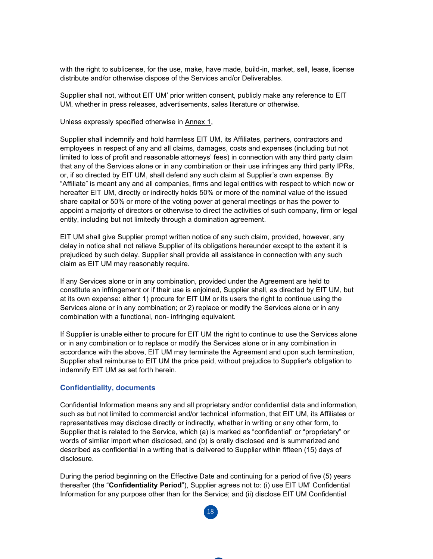with the right to sublicense, for the use, make, have made, build-in, market, sell, lease, license distribute and/or otherwise dispose of the Services and/or Deliverables.

Supplier shall not, without EIT UM' prior written consent, publicly make any reference to EIT UM, whether in press releases, advertisements, sales literature or otherwise.

Unless expressly specified otherwise in Annex 1,

Supplier shall indemnify and hold harmless EIT UM, its Affiliates, partners, contractors and employees in respect of any and all claims, damages, costs and expenses (including but not limited to loss of profit and reasonable attorneys' fees) in connection with any third party claim that any of the Services alone or in any combination or their use infringes any third party IPRs, or, if so directed by EIT UM, shall defend any such claim at Supplier's own expense. By "Affiliate" is meant any and all companies, firms and legal entities with respect to which now or hereafter EIT UM, directly or indirectly holds 50% or more of the nominal value of the issued share capital or 50% or more of the voting power at general meetings or has the power to appoint a majority of directors or otherwise to direct the activities of such company, firm or legal entity, including but not limitedly through a domination agreement.

EIT UM shall give Supplier prompt written notice of any such claim, provided, however, any delay in notice shall not relieve Supplier of its obligations hereunder except to the extent it is prejudiced by such delay. Supplier shall provide all assistance in connection with any such claim as EIT UM may reasonably require.

If any Services alone or in any combination, provided under the Agreement are held to constitute an infringement or if their use is enjoined, Supplier shall, as directed by EIT UM, but at its own expense: either 1) procure for EIT UM or its users the right to continue using the Services alone or in any combination; or 2) replace or modify the Services alone or in any combination with a functional, non- infringing equivalent.

If Supplier is unable either to procure for EIT UM the right to continue to use the Services alone or in any combination or to replace or modify the Services alone or in any combination in accordance with the above, EIT UM may terminate the Agreement and upon such termination, Supplier shall reimburse to EIT UM the price paid, without prejudice to Supplier's obligation to indemnify EIT UM as set forth herein.

#### **Confidentiality, documents**

Confidential Information means any and all proprietary and/or confidential data and information, such as but not limited to commercial and/or technical information, that EIT UM, its Affiliates or representatives may disclose directly or indirectly, whether in writing or any other form, to Supplier that is related to the Service, which (a) is marked as "confidential" or "proprietary" or words of similar import when disclosed, and (b) is orally disclosed and is summarized and described as confidential in a writing that is delivered to Supplier within fifteen (15) days of disclosure.

During the period beginning on the Effective Date and continuing for a period of five (5) years thereafter (the "**Confidentiality Period**"), Supplier agrees not to: (i) use EIT UM' Confidential Information for any purpose other than for the Service; and (ii) disclose EIT UM Confidential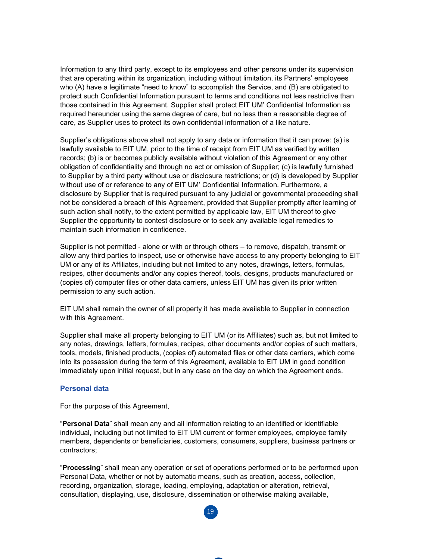Information to any third party, except to its employees and other persons under its supervision that are operating within its organization, including without limitation, its Partners' employees who (A) have a legitimate "need to know" to accomplish the Service, and (B) are obligated to protect such Confidential Information pursuant to terms and conditions not less restrictive than those contained in this Agreement. Supplier shall protect EIT UM' Confidential Information as required hereunder using the same degree of care, but no less than a reasonable degree of care, as Supplier uses to protect its own confidential information of a like nature.

Supplier's obligations above shall not apply to any data or information that it can prove: (a) is lawfully available to EIT UM, prior to the time of receipt from EIT UM as verified by written records; (b) is or becomes publicly available without violation of this Agreement or any other obligation of confidentiality and through no act or omission of Supplier; (c) is lawfully furnished to Supplier by a third party without use or disclosure restrictions; or (d) is developed by Supplier without use of or reference to any of EIT UM' Confidential Information. Furthermore, a disclosure by Supplier that is required pursuant to any judicial or governmental proceeding shall not be considered a breach of this Agreement, provided that Supplier promptly after learning of such action shall notify, to the extent permitted by applicable law, EIT UM thereof to give Supplier the opportunity to contest disclosure or to seek any available legal remedies to maintain such information in confidence.

Supplier is not permitted - alone or with or through others – to remove, dispatch, transmit or allow any third parties to inspect, use or otherwise have access to any property belonging to EIT UM or any of its Affiliates, including but not limited to any notes, drawings, letters, formulas, recipes, other documents and/or any copies thereof, tools, designs, products manufactured or (copies of) computer files or other data carriers, unless EIT UM has given its prior written permission to any such action.

EIT UM shall remain the owner of all property it has made available to Supplier in connection with this Agreement.

Supplier shall make all property belonging to EIT UM (or its Affiliates) such as, but not limited to any notes, drawings, letters, formulas, recipes, other documents and/or copies of such matters, tools, models, finished products, (copies of) automated files or other data carriers, which come into its possession during the term of this Agreement, available to EIT UM in good condition immediately upon initial request, but in any case on the day on which the Agreement ends.

#### **Personal data**

For the purpose of this Agreement,

"**Personal Data**" shall mean any and all information relating to an identified or identifiable individual, including but not limited to EIT UM current or former employees, employee family members, dependents or beneficiaries, customers, consumers, suppliers, business partners or contractors;

"**Processing**" shall mean any operation or set of operations performed or to be performed upon Personal Data, whether or not by automatic means, such as creation, access, collection, recording, organization, storage, loading, employing, adaptation or alteration, retrieval, consultation, displaying, use, disclosure, dissemination or otherwise making available,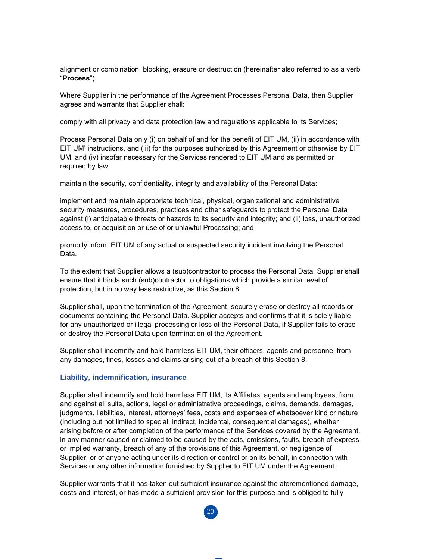alignment or combination, blocking, erasure or destruction (hereinafter also referred to as a verb "**Process**").

Where Supplier in the performance of the Agreement Processes Personal Data, then Supplier agrees and warrants that Supplier shall:

comply with all privacy and data protection law and regulations applicable to its Services;

Process Personal Data only (i) on behalf of and for the benefit of EIT UM, (ii) in accordance with EIT UM' instructions, and (iii) for the purposes authorized by this Agreement or otherwise by EIT UM, and (iv) insofar necessary for the Services rendered to EIT UM and as permitted or required by law;

maintain the security, confidentiality, integrity and availability of the Personal Data;

implement and maintain appropriate technical, physical, organizational and administrative security measures, procedures, practices and other safeguards to protect the Personal Data against (i) anticipatable threats or hazards to its security and integrity; and (ii) loss, unauthorized access to, or acquisition or use of or unlawful Processing; and

promptly inform EIT UM of any actual or suspected security incident involving the Personal Data.

To the extent that Supplier allows a (sub)contractor to process the Personal Data, Supplier shall ensure that it binds such (sub)contractor to obligations which provide a similar level of protection, but in no way less restrictive, as this Section 8.

Supplier shall, upon the termination of the Agreement, securely erase or destroy all records or documents containing the Personal Data. Supplier accepts and confirms that it is solely liable for any unauthorized or illegal processing or loss of the Personal Data, if Supplier fails to erase or destroy the Personal Data upon termination of the Agreement.

Supplier shall indemnify and hold harmless EIT UM, their officers, agents and personnel from any damages, fines, losses and claims arising out of a breach of this Section 8.

#### **Liability, indemnification, insurance**

Supplier shall indemnify and hold harmless EIT UM, its Affiliates, agents and employees, from and against all suits, actions, legal or administrative proceedings, claims, demands, damages, judgments, liabilities, interest, attorneys' fees, costs and expenses of whatsoever kind or nature (including but not limited to special, indirect, incidental, consequential damages), whether arising before or after completion of the performance of the Services covered by the Agreement, in any manner caused or claimed to be caused by the acts, omissions, faults, breach of express or implied warranty, breach of any of the provisions of this Agreement, or negligence of Supplier, or of anyone acting under its direction or control or on its behalf, in connection with Services or any other information furnished by Supplier to EIT UM under the Agreement.

Supplier warrants that it has taken out sufficient insurance against the aforementioned damage, costs and interest, or has made a sufficient provision for this purpose and is obliged to fully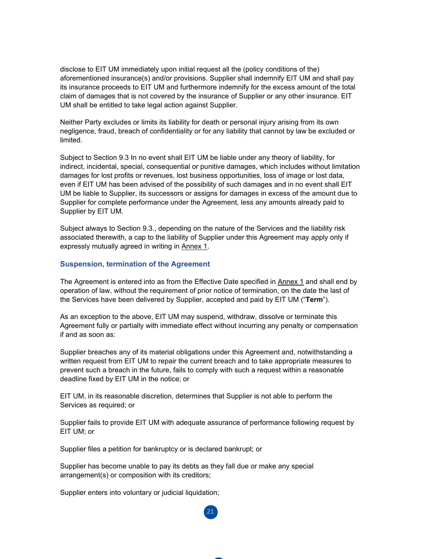disclose to EIT UM immediately upon initial request all the (policy conditions of the) aforementioned insurance(s) and/or provisions. Supplier shall indemnify EIT UM and shall pay its insurance proceeds to EIT UM and furthermore indemnify for the excess amount of the total claim of damages that is not covered by the insurance of Supplier or any other insurance. EIT UM shall be entitled to take legal action against Supplier.

Neither Party excludes or limits its liability for death or personal injury arising from its own negligence, fraud, breach of confidentiality or for any liability that cannot by law be excluded or limited.

Subject to Section 9.3 In no event shall EIT UM be liable under any theory of liability, for indirect, incidental, special, consequential or punitive damages, which includes without limitation damages for lost profits or revenues, lost business opportunities, loss of image or lost data, even if EIT UM has been advised of the possibility of such damages and in no event shall EIT UM be liable to Supplier, its successors or assigns for damages in excess of the amount due to Supplier for complete performance under the Agreement, less any amounts already paid to Supplier by EIT UM.

Subject always to Section 9.3., depending on the nature of the Services and the liability risk associated therewith, a cap to the liability of Supplier under this Agreement may apply only if expressly mutually agreed in writing in Annex 1.

#### **Suspension, termination of the Agreement**

The Agreement is entered into as from the Effective Date specified in Annex 1 and shall end by operation of law, without the requirement of prior notice of termination, on the date the last of the Services have been delivered by Supplier, accepted and paid by EIT UM ("**Term**").

As an exception to the above, EIT UM may suspend, withdraw, dissolve or terminate this Agreement fully or partially with immediate effect without incurring any penalty or compensation if and as soon as:

Supplier breaches any of its material obligations under this Agreement and, notwithstanding a written request from EIT UM to repair the current breach and to take appropriate measures to prevent such a breach in the future, fails to comply with such a request within a reasonable deadline fixed by EIT UM in the notice; or

EIT UM, in its reasonable discretion, determines that Supplier is not able to perform the Services as required; or

Supplier fails to provide EIT UM with adequate assurance of performance following request by EIT UM; or

 $21$ 

Supplier files a petition for bankruptcy or is declared bankrupt; or

Supplier has become unable to pay its debts as they fall due or make any special arrangement(s) or composition with its creditors;

Supplier enters into voluntary or judicial liquidation;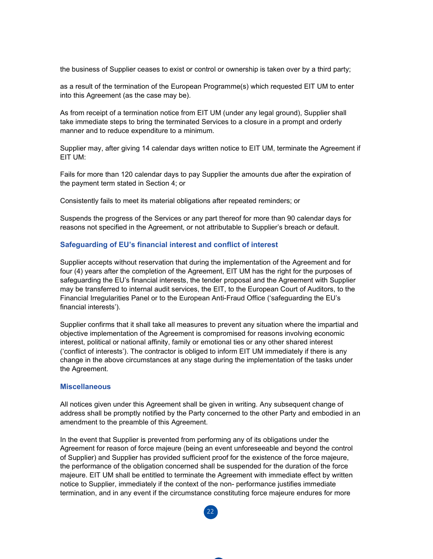the business of Supplier ceases to exist or control or ownership is taken over by a third party;

as a result of the termination of the European Programme(s) which requested EIT UM to enter into this Agreement (as the case may be).

As from receipt of a termination notice from EIT UM (under any legal ground), Supplier shall take immediate steps to bring the terminated Services to a closure in a prompt and orderly manner and to reduce expenditure to a minimum.

Supplier may, after giving 14 calendar days written notice to EIT UM, terminate the Agreement if EIT UM:

Fails for more than 120 calendar days to pay Supplier the amounts due after the expiration of the payment term stated in Section 4; or

Consistently fails to meet its material obligations after repeated reminders; or

Suspends the progress of the Services or any part thereof for more than 90 calendar days for reasons not specified in the Agreement, or not attributable to Supplier's breach or default.

#### **Safeguarding of EU's financial interest and conflict of interest**

Supplier accepts without reservation that during the implementation of the Agreement and for four (4) years after the completion of the Agreement, EIT UM has the right for the purposes of safeguarding the EU's financial interests, the tender proposal and the Agreement with Supplier may be transferred to internal audit services, the EIT, to the European Court of Auditors, to the Financial Irregularities Panel or to the European Anti-Fraud Office ('safeguarding the EU's financial interests').

Supplier confirms that it shall take all measures to prevent any situation where the impartial and objective implementation of the Agreement is compromised for reasons involving economic interest, political or national affinity, family or emotional ties or any other shared interest ('conflict of interests'). The contractor is obliged to inform EIT UM immediately if there is any change in the above circumstances at any stage during the implementation of the tasks under the Agreement.

#### **Miscellaneous**

All notices given under this Agreement shall be given in writing. Any subsequent change of address shall be promptly notified by the Party concerned to the other Party and embodied in an amendment to the preamble of this Agreement.

In the event that Supplier is prevented from performing any of its obligations under the Agreement for reason of force majeure (being an event unforeseeable and beyond the control of Supplier) and Supplier has provided sufficient proof for the existence of the force majeure, the performance of the obligation concerned shall be suspended for the duration of the force majeure. EIT UM shall be entitled to terminate the Agreement with immediate effect by written notice to Supplier, immediately if the context of the non- performance justifies immediate termination, and in any event if the circumstance constituting force majeure endures for more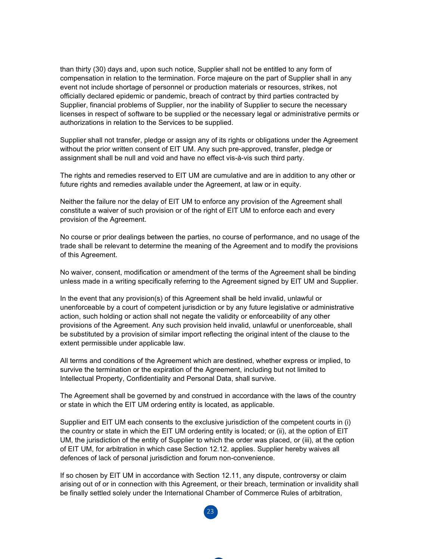than thirty (30) days and, upon such notice, Supplier shall not be entitled to any form of compensation in relation to the termination. Force majeure on the part of Supplier shall in any event not include shortage of personnel or production materials or resources, strikes, not officially declared epidemic or pandemic, breach of contract by third parties contracted by Supplier, financial problems of Supplier, nor the inability of Supplier to secure the necessary licenses in respect of software to be supplied or the necessary legal or administrative permits or authorizations in relation to the Services to be supplied.

Supplier shall not transfer, pledge or assign any of its rights or obligations under the Agreement without the prior written consent of EIT UM. Any such pre-approved, transfer, pledge or assignment shall be null and void and have no effect vis-à-vis such third party.

The rights and remedies reserved to EIT UM are cumulative and are in addition to any other or future rights and remedies available under the Agreement, at law or in equity.

Neither the failure nor the delay of EIT UM to enforce any provision of the Agreement shall constitute a waiver of such provision or of the right of EIT UM to enforce each and every provision of the Agreement.

No course or prior dealings between the parties, no course of performance, and no usage of the trade shall be relevant to determine the meaning of the Agreement and to modify the provisions of this Agreement.

No waiver, consent, modification or amendment of the terms of the Agreement shall be binding unless made in a writing specifically referring to the Agreement signed by EIT UM and Supplier.

In the event that any provision(s) of this Agreement shall be held invalid, unlawful or unenforceable by a court of competent jurisdiction or by any future legislative or administrative action, such holding or action shall not negate the validity or enforceability of any other provisions of the Agreement. Any such provision held invalid, unlawful or unenforceable, shall be substituted by a provision of similar import reflecting the original intent of the clause to the extent permissible under applicable law.

All terms and conditions of the Agreement which are destined, whether express or implied, to survive the termination or the expiration of the Agreement, including but not limited to Intellectual Property, Confidentiality and Personal Data, shall survive.

The Agreement shall be governed by and construed in accordance with the laws of the country or state in which the EIT UM ordering entity is located, as applicable.

Supplier and EIT UM each consents to the exclusive jurisdiction of the competent courts in (i) the country or state in which the EIT UM ordering entity is located; or (ii), at the option of EIT UM, the jurisdiction of the entity of Supplier to which the order was placed, or (iii), at the option of EIT UM, for arbitration in which case Section 12.12. applies. Supplier hereby waives all defences of lack of personal jurisdiction and forum non-convenience.

If so chosen by EIT UM in accordance with Section 12.11, any dispute, controversy or claim arising out of or in connection with this Agreement, or their breach, termination or invalidity shall be finally settled solely under the International Chamber of Commerce Rules of arbitration,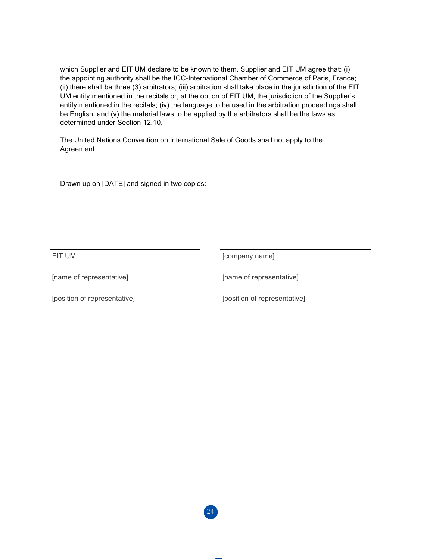which Supplier and EIT UM declare to be known to them. Supplier and EIT UM agree that: (i) the appointing authority shall be the ICC-International Chamber of Commerce of Paris, France; (ii) there shall be three (3) arbitrators; (iii) arbitration shall take place in the jurisdiction of the EIT UM entity mentioned in the recitals or, at the option of EIT UM, the jurisdiction of the Supplier's entity mentioned in the recitals; (iv) the language to be used in the arbitration proceedings shall be English; and (v) the material laws to be applied by the arbitrators shall be the laws as determined under Section 12.10.

The United Nations Convention on International Sale of Goods shall not apply to the Agreement.

Drawn up on [DATE] and signed in two copies:

EIT UM **EIT UM** [company name]

[name of representative] [name of representative]

[position of representative] [position of representative]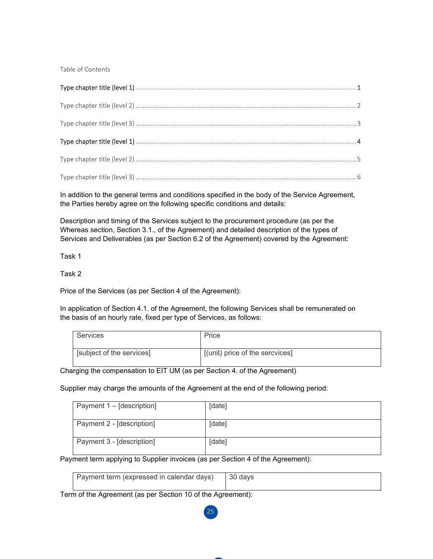Table of Contents

In addition to the general terms and conditions specified in the body of the Service Agreement, the Parties hereby agree on the following specific conditions and details:

Description and timing of the Services subject to the procurement procedure (as per the Whereas section, Section 3.1., of the Agreement) and detailed description of the types of Services and Deliverables (as per Section 6.2 of the Agreement) covered by the Agreement:

Task 1

Task 2

Price of the Services (as per Section 4 of the Agreement):

In application of Section 4.1. of the Agreement, the following Services shall be remunerated on the basis of an hourly rate, fixed per type of Services, as follows:

| Services                  | Price                           |
|---------------------------|---------------------------------|
| [subject of the services] | [(unit) price of the sercvices] |

Charging the compensation to EIT UM (as per Section 4. of the Agreement)

Supplier may charge the amounts of the Agreement at the end of the following period:

| Payment 1 – [description] | [date] |
|---------------------------|--------|
| Payment 2 - [description] | [date] |
| Payment 3 - [description] | [date] |

Payment term applying to Supplier invoices (as per Section 4 of the Agreement):

| Payment term (expressed in calendar days)   30 days |  |
|-----------------------------------------------------|--|
|                                                     |  |

25

Term of the Agreement (as per Section 10 of the Agreement):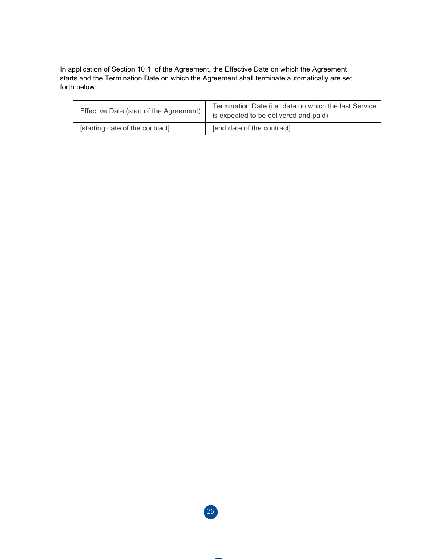In application of Section 10.1. of the Agreement, the Effective Date on which the Agreement starts and the Termination Date on which the Agreement shall terminate automatically are set forth below:

| Effective Date (start of the Agreement) | Termination Date (i.e. date on which the last Service<br>is expected to be delivered and paid) |
|-----------------------------------------|------------------------------------------------------------------------------------------------|
| [starting date of the contract]         | [end date of the contract]                                                                     |

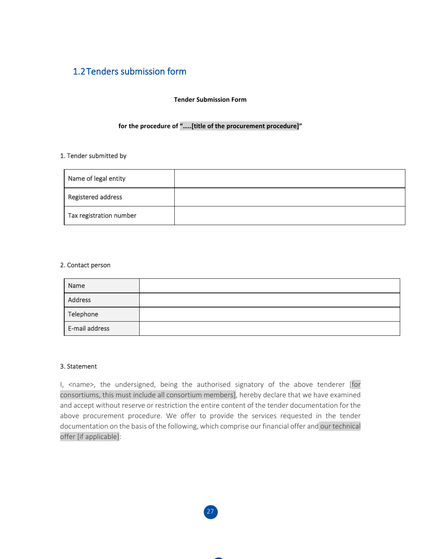## 1.2Tenders submission form

#### **Tender Submission Form**

#### **for the procedure of "…..[title of the procurement procedure]"**

#### 1. Tender submitted by

| Name of legal entity    |  |
|-------------------------|--|
| Registered address      |  |
| Tax registration number |  |

#### 2. Contact person

| Name           |  |
|----------------|--|
| Address        |  |
| Telephone      |  |
| E-mail address |  |

#### 3. Statement

I, <name>, the undersigned, being the authorised signatory of the above tenderer [for consortiums, this must include all consortium members], hereby declare that we have examined and accept without reserve or restriction the entire content of the tender documentation for the above procurement procedure. We offer to provide the services requested in the tender documentation on the basis of the following, which comprise our financial offer and our technical offer [if applicable]: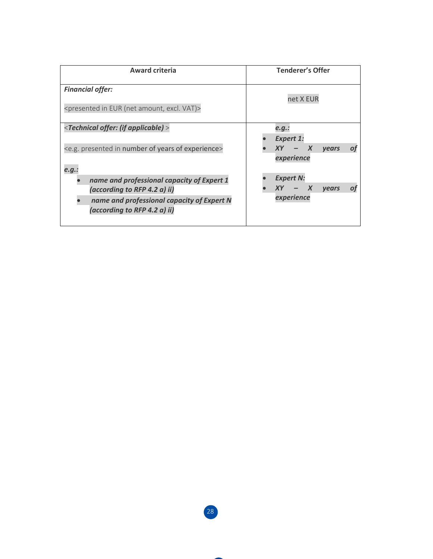| <b>Award criteria</b>                                                                                                                                    | <b>Tenderer's Offer</b>                                                   |
|----------------------------------------------------------------------------------------------------------------------------------------------------------|---------------------------------------------------------------------------|
| <b>Financial offer:</b><br><presented (net="" amount,="" eur="" excl.="" in="" vat)=""></presented>                                                      | net X EUR                                                                 |
| <technical (if="" applicable)="" offer:=""><br/><e.g. experience="" in="" number="" of="" presented="" years=""></e.g.></technical>                      | e.g.:<br><b>Expert 1:</b><br>$\boldsymbol{X}$<br>XY<br><b>vears</b><br>O1 |
| e.g.:                                                                                                                                                    | experience                                                                |
| name and professional capacity of Expert 1<br>(according to RFP 4.2 a) ii)<br>name and professional capacity of Expert N<br>(according to RFP 4.2 a) ii) | <b>Expert N:</b><br>XY.<br>$\boldsymbol{X}$<br><b>vears</b><br>experience |